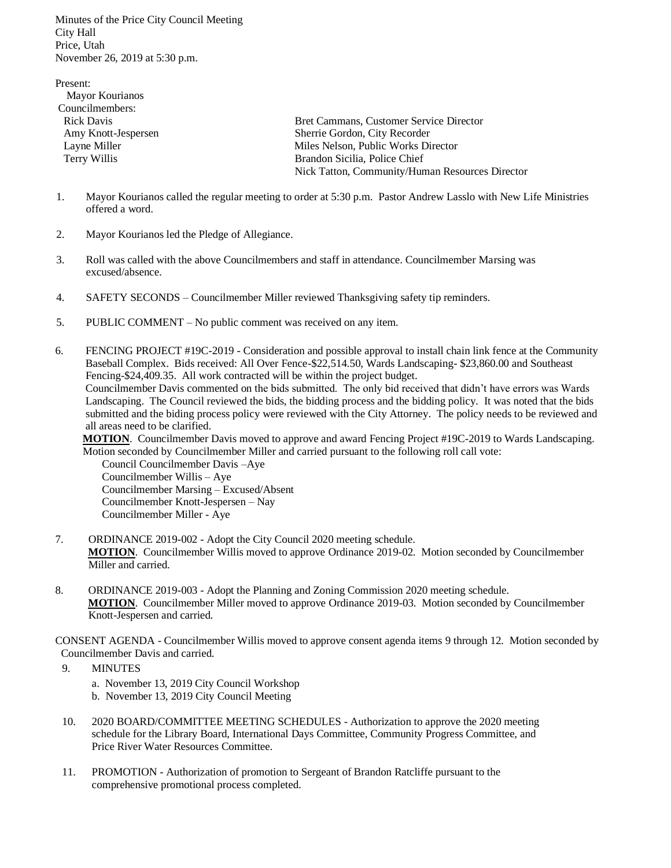Minutes of the Price City Council Meeting City Hall Price, Utah November 26, 2019 at 5:30 p.m.

Present: Mayor Kourianos Councilmembers: Rick Davis Bret Cammans, Customer Service Director Amy Knott-Jespersen Sherrie Gordon, City Recorder Layne Miller Milles Nelson, Public Works Director Terry Willis Brandon Sicilia, Police Chief Nick Tatton, Community/Human Resources Director

- 1. Mayor Kourianos called the regular meeting to order at 5:30 p.m. Pastor Andrew Lasslo with New Life Ministries offered a word.
- 2. Mayor Kourianos led the Pledge of Allegiance.
- 3. Roll was called with the above Councilmembers and staff in attendance. Councilmember Marsing was excused/absence.
- 4. SAFETY SECONDS Councilmember Miller reviewed Thanksgiving safety tip reminders.
- 5. PUBLIC COMMENT No public comment was received on any item.
- 6. FENCING PROJECT #19C-2019 Consideration and possible approval to install chain link fence at the Community Baseball Complex. Bids received: All Over Fence-\$22,514.50, Wards Landscaping- \$23,860.00 and Southeast Fencing-\$24,409.35. All work contracted will be within the project budget. Councilmember Davis commented on the bids submitted. The only bid received that didn't have errors was Wards Landscaping. The Council reviewed the bids, the bidding process and the bidding policy. It was noted that the bids

 submitted and the biding process policy were reviewed with the City Attorney. The policy needs to be reviewed and all areas need to be clarified.

 **MOTION**. Councilmember Davis moved to approve and award Fencing Project #19C-2019 to Wards Landscaping. Motion seconded by Councilmember Miller and carried pursuant to the following roll call vote:

 Council Councilmember Davis –Aye Councilmember Willis – Aye Councilmember Marsing – Excused/Absent Councilmember Knott-Jespersen – Nay Councilmember Miller - Aye

- 7. ORDINANCE 2019-002 Adopt the City Council 2020 meeting schedule. **MOTION**. Councilmember Willis moved to approve Ordinance 2019-02. Motion seconded by Councilmember Miller and carried.
- 8. ORDINANCE 2019-003 Adopt the Planning and Zoning Commission 2020 meeting schedule. **MOTION**. Councilmember Miller moved to approve Ordinance 2019-03. Motion seconded by Councilmember Knott-Jespersen and carried.

CONSENT AGENDA - Councilmember Willis moved to approve consent agenda items 9 through 12. Motion seconded by Councilmember Davis and carried.

9. MINUTES

a. November 13, 2019 City Council Workshop b. November 13, 2019 City Council Meeting

- 10. 2020 BOARD/COMMITTEE MEETING SCHEDULES Authorization to approve the 2020 meeting schedule for the Library Board, International Days Committee, Community Progress Committee, and Price River Water Resources Committee.
- 11. PROMOTION Authorization of promotion to Sergeant of Brandon Ratcliffe pursuant to the comprehensive promotional process completed.